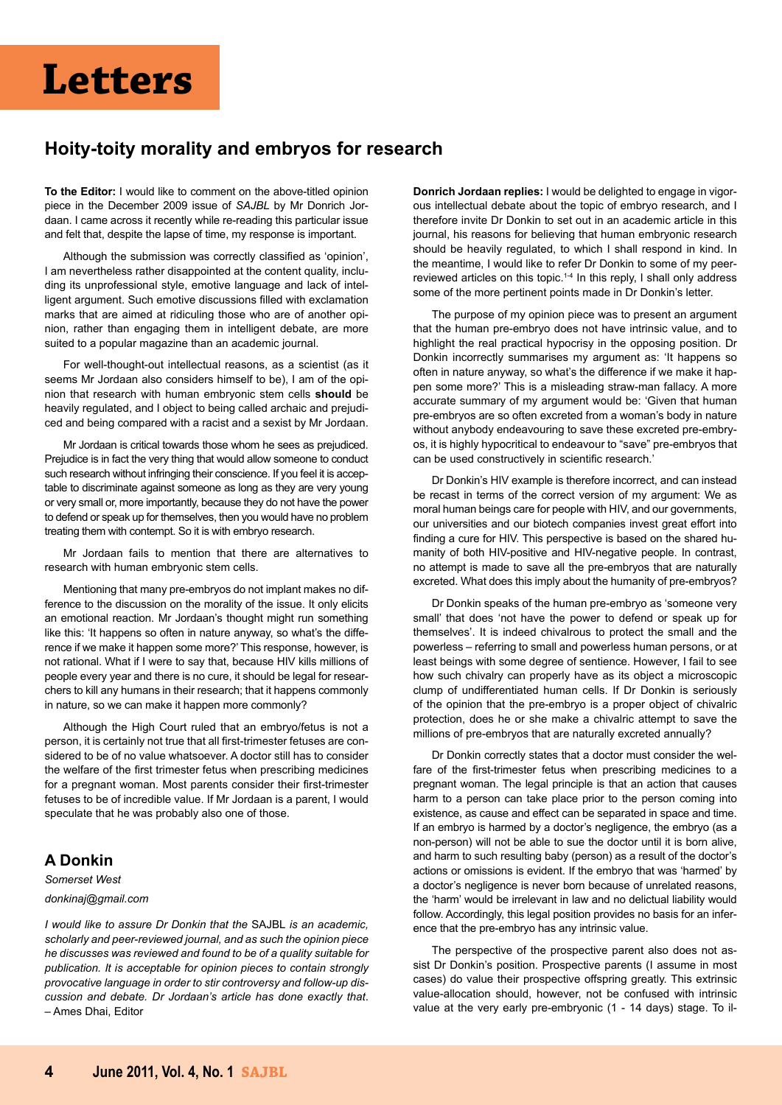# **Letters**

## **Hoity-toity morality and embryos for research**

**To the Editor:** I would like to comment on the above-titled opinion piece in the December 2009 issue of *SAJBL* by Mr Donrich Jordaan. I came across it recently while re-reading this particular issue and felt that, despite the lapse of time, my response is important.

Although the submission was correctly classified as 'opinion', I am nevertheless rather disappointed at the content quality, including its unprofessional style, emotive language and lack of intelligent argument. Such emotive discussions filled with exclamation marks that are aimed at ridiculing those who are of another opinion, rather than engaging them in intelligent debate, are more suited to a popular magazine than an academic journal.

For well-thought-out intellectual reasons, as a scientist (as it seems Mr Jordaan also considers himself to be), I am of the opinion that research with human embryonic stem cells **should** be heavily regulated, and I object to being called archaic and prejudiced and being compared with a racist and a sexist by Mr Jordaan.

Mr Jordaan is critical towards those whom he sees as prejudiced. Prejudice is in fact the very thing that would allow someone to conduct such research without infringing their conscience. If you feel it is acceptable to discriminate against someone as long as they are very young or very small or, more importantly, because they do not have the power to defend or speak up for themselves, then you would have no problem treating them with contempt. So it is with embryo research.

Mr Jordaan fails to mention that there are alternatives to research with human embryonic stem cells.

Mentioning that many pre-embryos do not implant makes no difference to the discussion on the morality of the issue. It only elicits an emotional reaction. Mr Jordaan's thought might run something like this: 'It happens so often in nature anyway, so what's the difference if we make it happen some more?' This response, however, is not rational. What if I were to say that, because HIV kills millions of people every year and there is no cure, it should be legal for researchers to kill any humans in their research; that it happens commonly in nature, so we can make it happen more commonly?

Although the High Court ruled that an embryo/fetus is not a person, it is certainly not true that all first-trimester fetuses are considered to be of no value whatsoever. A doctor still has to consider the welfare of the first trimester fetus when prescribing medicines for a pregnant woman. Most parents consider their first-trimester fetuses to be of incredible value. If Mr Jordaan is a parent, I would speculate that he was probably also one of those.

## **A Donkin**

#### *Somerset West*

#### *donkinaj@gmail.com*

*I would like to assure Dr Donkin that the* SAJBL *is an academic, scholarly and peer-reviewed journal, and as such the opinion piece he discusses was reviewed and found to be of a quality suitable for publication. It is acceptable for opinion pieces to contain strongly provocative language in order to stir controversy and follow-up discussion and debate. Dr Jordaan's article has done exactly that*. – Ames Dhai, Editor

**Donrich Jordaan replies:** I would be delighted to engage in vigorous intellectual debate about the topic of embryo research, and I therefore invite Dr Donkin to set out in an academic article in this journal, his reasons for believing that human embryonic research should be heavily regulated, to which I shall respond in kind. In the meantime, I would like to refer Dr Donkin to some of my peerreviewed articles on this topic.<sup>14</sup> In this reply, I shall only address some of the more pertinent points made in Dr Donkin's letter.

The purpose of my opinion piece was to present an argument that the human pre-embryo does not have intrinsic value, and to highlight the real practical hypocrisy in the opposing position. Dr Donkin incorrectly summarises my argument as: 'It happens so often in nature anyway, so what's the difference if we make it happen some more?' This is a misleading straw-man fallacy. A more accurate summary of my argument would be: 'Given that human pre-embryos are so often excreted from a woman's body in nature without anybody endeavouring to save these excreted pre-embryos, it is highly hypocritical to endeavour to "save" pre-embryos that can be used constructively in scientific research.'

Dr Donkin's HIV example is therefore incorrect, and can instead be recast in terms of the correct version of my argument: We as moral human beings care for people with HIV, and our governments, our universities and our biotech companies invest great effort into finding a cure for HIV. This perspective is based on the shared humanity of both HIV-positive and HIV-negative people. In contrast, no attempt is made to save all the pre-embryos that are naturally excreted. What does this imply about the humanity of pre-embryos?

Dr Donkin speaks of the human pre-embryo as 'someone very small' that does 'not have the power to defend or speak up for themselves'. It is indeed chivalrous to protect the small and the powerless – referring to small and powerless human persons, or at least beings with some degree of sentience. However, I fail to see how such chivalry can properly have as its object a microscopic clump of undifferentiated human cells. If Dr Donkin is seriously of the opinion that the pre-embryo is a proper object of chivalric protection, does he or she make a chivalric attempt to save the millions of pre-embryos that are naturally excreted annually?

Dr Donkin correctly states that a doctor must consider the welfare of the first-trimester fetus when prescribing medicines to a pregnant woman. The legal principle is that an action that causes harm to a person can take place prior to the person coming into existence, as cause and effect can be separated in space and time. If an embryo is harmed by a doctor's negligence, the embryo (as a non-person) will not be able to sue the doctor until it is born alive, and harm to such resulting baby (person) as a result of the doctor's actions or omissions is evident. If the embryo that was 'harmed' by a doctor's negligence is never born because of unrelated reasons, the 'harm' would be irrelevant in law and no delictual liability would follow. Accordingly, this legal position provides no basis for an inference that the pre-embryo has any intrinsic value.

The perspective of the prospective parent also does not assist Dr Donkin's position. Prospective parents (I assume in most cases) do value their prospective offspring greatly. This extrinsic value-allocation should, however, not be confused with intrinsic value at the very early pre-embryonic (1 - 14 days) stage. To il-